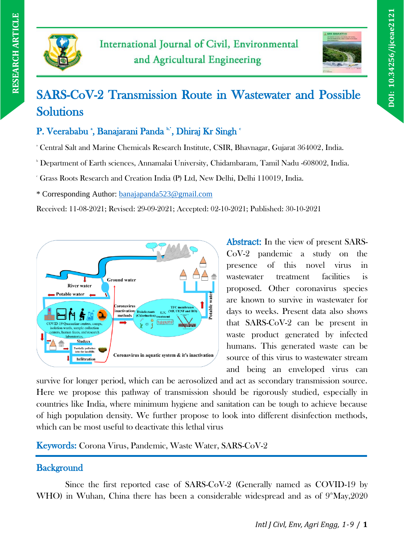



# SARS-CoV-2 Transmission Route in Wastewater and Possible Solutions

P. Veerababu \*, Banajarani Panda \*\*, Dhiraj Kr Singh \*

<sup>a</sup> Central Salt and Marine Chemicals Research Institute, CSIR, Bhavnagar, Gujarat 364002, India.

<sup>b</sup> Department of Earth sciences, Annamalai University, Chidambaram, Tamil Nadu -608002, India.

<sup>c</sup> Grass Roots Research and Creation India (P) Ltd, New Delhi, Delhi 110019, India.

\* Corresponding Author: [banajapanda523@gmail.com](mailto:banajapanda523@gmail.com)

Received: 11-08-2021; Revised: 29-09-2021; Accepted: 02-10-2021; Published: 30-10-2021



Abstract: In the view of present SARS-CoV-2 pandemic a study on the presence of this novel virus in wastewater treatment facilities is proposed. Other coronavirus species are known to survive in wastewater for days to weeks. Present data also shows that SARS-CoV-2 can be present in waste product generated by infected humans. This generated waste can be source of this virus to wastewater stream and being an enveloped virus can

survive for longer period, which can be aerosolized and act as secondary transmission source. Here we propose this pathway of transmission should be rigorously studied, especially in countries like India, where minimum hygiene and sanitation can be tough to achieve because of high population density. We further propose to look into different disinfection methods, which can be most useful to deactivate this lethal virus

Keywords: Corona Virus, Pandemic, Waste Water, SARS-CoV-2

# **Background**

Since the first reported case of SARS-CoV-2 (Generally named as COVID-19 by WHO) in Wuhan, China there has been a considerable widespread and as of  $9^{\circ}$ May,2020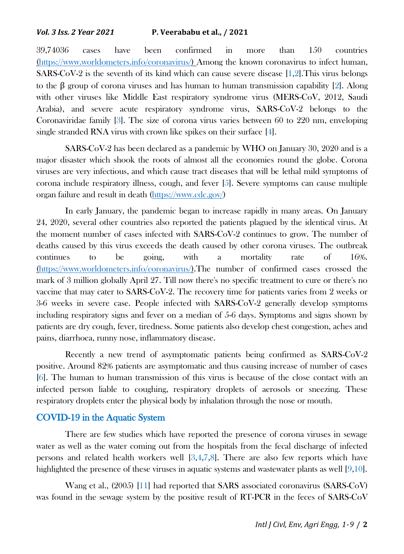39,74036 cases have been confirmed in more than 150 countries [\(https://www.worldometers.info/coronavirus/\)](https://www.worldometers.info/coronavirus/) Among the known coronavirus to infect human, SARS-CoV-2 is the seventh of its kind which can cause severe disease [1,2].This virus belongs to the β group of corona viruses and has human to human transmission capability [2]. Along with other viruses like Middle East respiratory syndrome virus (MERS-CoV, 2012, Saudi Arabia), and severe acute respiratory syndrome virus, SARS-CoV-2 belongs to the Coronaviridae family [3]. The size of corona virus varies between 60 to 220 nm, enveloping single stranded RNA virus with crown like spikes on their surface [4].

SARS-CoV-2 has been declared as a pandemic by WHO on January 30, 2020 and is a major disaster which shook the roots of almost all the economies round the globe. Corona viruses are very infectious, and which cause tract diseases that will be lethal mild symptoms of corona include respiratory illness, cough, and fever  $[5]$ . Severe symptoms can cause multiple organ failure and result in death [\(https://www.cdc.gov/\)](https://www.cdc.gov/)

In early January, the pandemic began to increase rapidly in many areas. On January 24, 2020, several other countries also reported the patients plagued by the identical virus. At the moment number of cases infected with SARS-CoV-2 continues to grow. The number of deaths caused by this virus exceeds the death caused by other corona viruses. The outbreak continues to be going, with a mortality rate of 16%. [\(https://www.worldometers.info/coronavirus/\)](https://www.worldometers.info/coronavirus/).The number of confirmed cases crossed the mark of 3 million globally April 27. Till now there's no specific treatment to cure or there's no vaccine that may cater to SARS-CoV-2. The recovery time for patients varies from 2 weeks or 3-6 weeks in severe case. People infected with SARS-CoV-2 generally develop symptoms including respiratory signs and fever on a median of 5-6 days. Symptoms and signs shown by patients are dry cough, fever, tiredness. Some patients also develop chest congestion, aches and pains, diarrhoea, runny nose, inflammatory disease.

Recently a new trend of asymptomatic patients being confirmed as SARS-CoV-2 positive. Around 82% patients are asymptomatic and thus causing increase of number of cases [6]. The human to human transmission of this virus is because of the close contact with an infected person liable to coughing, respiratory droplets of aerosols or sneezing. These respiratory droplets enter the physical body by inhalation through the nose or mouth.

# COVID-19 in the Aquatic System

There are few studies which have reported the presence of corona viruses in sewage water as well as the water coming out from the hospitals from the fecal discharge of infected persons and related health workers well [3,4,7,8]. There are also few reports which have highlighted the presence of these viruses in aquatic systems and wastewater plants as well [9,10].

Wang et al., (2005) [11] had reported that SARS associated coronavirus (SARS-CoV) was found in the sewage system by the positive result of RT-PCR in the feces of SARS-CoV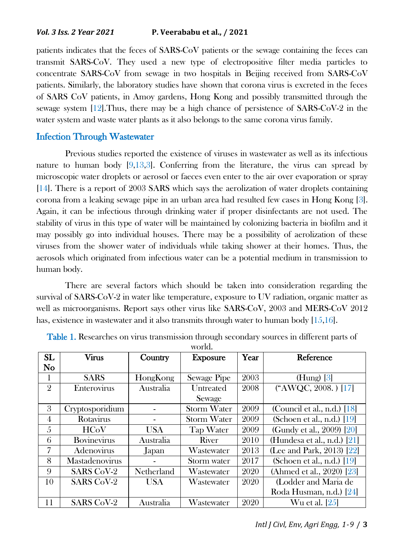patients indicates that the feces of SARS-CoV patients or the sewage containing the feces can transmit SARS-CoV. They used a new type of electropositive filter media particles to concentrate SARS-CoV from sewage in two hospitals in Beijing received from SARS-CoV patients. Similarly, the laboratory studies have shown that corona virus is excreted in the feces of SARS CoV patients, in Amoy gardens, Hong Kong and possibly transmitted through the sewage system  $[12]$ . Thus, there may be a high chance of persistence of SARS-CoV-2 in the water system and waste water plants as it also belongs to the same corona virus family.

### Infection Through Wastewater

Previous studies reported the existence of viruses in wastewater as well as its infectious nature to human body  $[9,13,3]$ . Conferring from the literature, the virus can spread by microscopic water droplets or aerosol or faeces even enter to the air over evaporation or spray [14]. There is a report of 2003 SARS which says the aerolization of water droplets containing corona from a leaking sewage pipe in an urban area had resulted few cases in Hong Kong [3]. Again, it can be infectious through drinking water if proper disinfectants are not used. The stability of virus in this type of water will be maintained by colonizing bacteria in biofilm and it may possibly go into individual houses. There may be a possibility of aerolization of these viruses from the shower water of individuals while taking shower at their homes. Thus, the aerosols which originated from infectious water can be a potential medium in transmission to human body.

There are several factors which should be taken into consideration regarding the survival of SARS-CoV-2 in water like temperature, exposure to UV radiation, organic matter as well as microorganisms. Report says other virus like SARS-CoV, 2003 and MERS-CoV 2012 has, existence in wastewater and it also transmits through water to human body [15,16].

| SL             | <b>Virus</b>       | Country    | <b>Exposure</b>    | Year | Reference                     |
|----------------|--------------------|------------|--------------------|------|-------------------------------|
| No             |                    |            |                    |      |                               |
|                | <b>SARS</b>        | HongKong   | <b>Sewage Pipe</b> | 2003 | $(Hung)$ [3]                  |
| $\overline{2}$ | Enterovirus        | Australia  | Untreated          | 2008 | ("AWQC, 2008.) [17]           |
|                |                    |            | Sewage             |      |                               |
| 3              | Cryptosporidium    |            | <b>Storm Water</b> | 2009 | (Council et al., n.d.) $[18]$ |
| 4              | Rotavirus          |            | <b>Storm Water</b> | 2009 | (Schoen et al., n.d.) $[19]$  |
| 5              | <b>HCoV</b>        | <b>USA</b> | <b>Tap Water</b>   | 2009 | (Gundy et al., 2009) [20]     |
| 6              | <b>Bovinevirus</b> | Australia  | River              | 2010 | (Hundesa et al., n.d.) $[21]$ |
| 7              | Adenovirus         | Japan      | Wastewater         | 2013 | (Lee and Park, 2013) $[22]$   |
| 8              | Mastadenovirus     |            | Storm water        | 2017 | (Schoen et al., n.d.) $[19]$  |
| 9              | <b>SARS CoV-2</b>  | Netherland | Wastewater         | 2020 | (Ahmed et al., 2020) [23]     |
| 10             | <b>SARS CoV-2</b>  | <b>USA</b> | Wastewater         | 2020 | (Lodder and Maria de          |
|                |                    |            |                    |      | Roda Husman, n.d.) [24]       |
| 11             | <b>SARS CoV-2</b>  | Australia  | Wastewater         | 2020 | Wu et al. [25]                |

Table 1. Researches on virus transmission through secondary sources in different parts of world.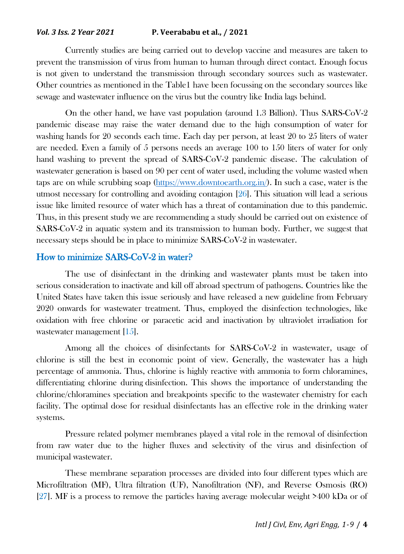#### *Vol. 3 Iss. 2 Year 2021* **P. Veerababu et al., / 2021**

Currently studies are being carried out to develop vaccine and measures are taken to prevent the transmission of virus from human to human through direct contact. Enough focus is not given to understand the transmission through secondary sources such as wastewater. Other countries as mentioned in the Table1 have been focussing on the secondary sources like sewage and wastewater influence on the virus but the country like India lags behind.

On the other hand, we have vast population (around 1.3 Billion). Thus SARS-CoV-2 pandemic disease may raise the water demand due to the high consumption of water for washing hands for 20 seconds each time. Each day per person, at least 20 to 25 liters of water are needed. Even a family of 5 persons needs an average 100 to 150 liters of water for only hand washing to prevent the spread of SARS-CoV-2 pandemic disease. The calculation of wastewater generation is based on 90 per cent of water used, including the volume wasted when taps are on while scrubbing soap [\(https://www.downtoearth.org.in/\)](https://www.downtoearth.org.in/). In such a case, water is the utmost necessary for controlling and avoiding contagion [26]. This situation will lead a serious issue like limited resource of water which has a threat of contamination due to this pandemic. Thus, in this present study we are recommending a study should be carried out on existence of SARS-CoV-2 in aquatic system and its transmission to human body. Further, we suggest that necessary steps should be in place to minimize SARS-CoV-2 in wastewater.

## How to minimize SARS-CoV-2 in water?

The use of disinfectant in the drinking and wastewater plants must be taken into serious consideration to inactivate and kill off abroad spectrum of pathogens. Countries like the United States have taken this issue seriously and have released a new guideline from February 2020 onwards for wastewater treatment. Thus, employed the disinfection technologies, like oxidation with free chlorine or paracetic acid and inactivation by ultraviolet irradiation for wastewater management [15].

Among all the choices of disinfectants for SARS-CoV-2 in wastewater, usage of chlorine is still the best in economic point of view. Generally, the wastewater has a high percentage of ammonia. Thus, chlorine is highly reactive with ammonia to form chloramines, differentiating chlorine during disinfection. This shows the importance of understanding the chlorine/chloramines speciation and breakpoints specific to the wastewater chemistry for each facility. The optimal dose for residual disinfectants has an effective role in the drinking water systems.

Pressure related polymer membranes played a vital role in the removal of disinfection from raw water due to the higher fluxes and selectivity of the virus and disinfection of municipal wastewater.

These membrane separation processes are divided into four different types which are Microfiltration (MF), Ultra filtration (UF), Nanofiltration (NF), and Reverse Osmosis (RO) [27]. MF is a process to remove the particles having average molecular weight >400 kDa or of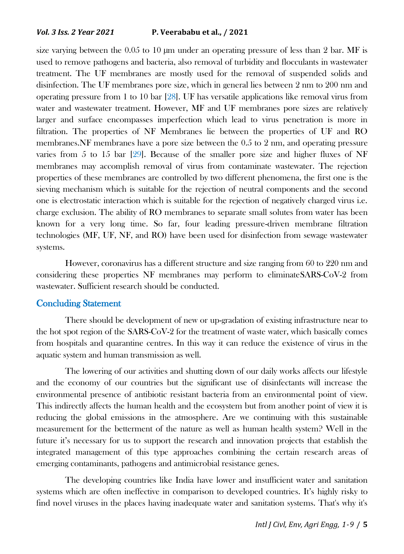size varying between the  $0.05$  to 10 µm under an operating pressure of less than 2 bar. MF is used to remove pathogens and bacteria, also removal of turbidity and flocculants in wastewater treatment. The UF membranes are mostly used for the removal of suspended solids and disinfection. The UF membranes pore size, which in general lies between 2 nm to 200 nm and operating pressure from 1 to 10 bar [28]. UF has versatile applications like removal virus from water and wastewater treatment. However, MF and UF membranes pore sizes are relatively larger and surface encompasses imperfection which lead to virus penetration is more in filtration. The properties of NF Membranes lie between the properties of UF and RO membranes.NF membranes have a pore size between the 0.5 to 2 nm, and operating pressure varies from 5 to 15 bar [29]. Because of the smaller pore size and higher fluxes of NF membranes may accomplish removal of virus from contaminate wastewater. The rejection properties of these membranes are controlled by two different phenomena, the first one is the sieving mechanism which is suitable for the rejection of neutral components and the second one is electrostatic interaction which is suitable for the rejection of negatively charged virus i.e. charge exclusion. The ability of RO membranes to separate small solutes from water has been known for a very long time. So far, four leading pressure-driven membrane filtration technologies (MF, UF, NF, and RO) have been used for disinfection from sewage wastewater systems.

However, coronavirus has a different structure and size ranging from 60 to 220 nm and considering these properties NF membranes may perform to eliminateSARS-CoV-2 from wastewater. Sufficient research should be conducted.

#### Concluding Statement

There should be development of new or up-gradation of existing infrastructure near to the hot spot region of the SARS-CoV-2 for the treatment of waste water, which basically comes from hospitals and quarantine centres. In this way it can reduce the existence of virus in the aquatic system and human transmission as well.

The lowering of our activities and shutting down of our daily works affects our lifestyle and the economy of our countries but the significant use of disinfectants will increase the environmental presence of antibiotic resistant bacteria from an environmental point of view. This indirectly affects the human health and the ecosystem but from another point of view it is reducing the global emissions in the atmosphere. Are we continuing with this sustainable measurement for the betterment of the nature as well as human health system? Well in the future it's necessary for us to support the research and innovation projects that establish the integrated management of this type approaches combining the certain research areas of emerging contaminants, pathogens and antimicrobial resistance genes.

The developing countries like India have lower and insufficient water and sanitation systems which are often ineffective in comparison to developed countries. It's highly risky to find novel viruses in the places having inadequate water and sanitation systems. That's why it's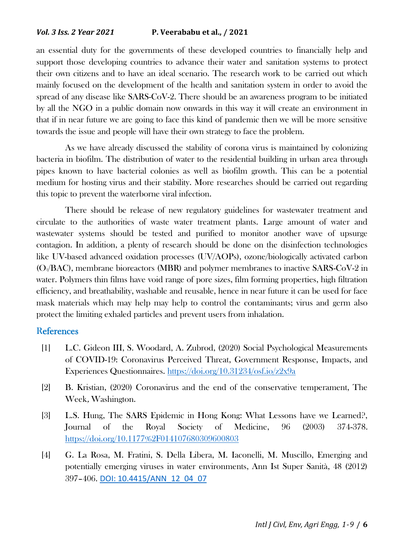an essential duty for the governments of these developed countries to financially help and support those developing countries to advance their water and sanitation systems to protect their own citizens and to have an ideal scenario. The research work to be carried out which mainly focused on the development of the health and sanitation system in order to avoid the spread of any disease like SARS-CoV-2. There should be an awareness program to be initiated by all the NGO in a public domain now onwards in this way it will create an environment in that if in near future we are going to face this kind of pandemic then we will be more sensitive towards the issue and people will have their own strategy to face the problem.

As we have already discussed the stability of corona virus is maintained by colonizing bacteria in biofilm. The distribution of water to the residential building in urban area through pipes known to have bacterial colonies as well as biofilm growth. This can be a potential medium for hosting virus and their stability. More researches should be carried out regarding this topic to prevent the waterborne viral infection.

There should be release of new regulatory guidelines for wastewater treatment and circulate to the authorities of waste water treatment plants. Large amount of water and wastewater systems should be tested and purified to monitor another wave of upsurge contagion. In addition, a plenty of research should be done on the disinfection technologies like UV-based advanced oxidation processes (UV/AOPs), ozone/biologically activated carbon (O3/BAC), membrane bioreactors (MBR) and polymer membranes to inactive SARS-CoV-2 in water. Polymers thin films have void range of pore sizes, film forming properties, high filtration efficiency, and breathability, washable and reusable, hence in near future it can be used for face mask materials which may help may help to control the contaminants; virus and germ also protect the limiting exhaled particles and prevent users from inhalation.

#### **References**

- [1] L.C. Gideon III, S. Woodard, A. Zubrod, (2020) Social Psychological Measurements of COVID-19: Coronavirus Perceived Threat, Government Response, Impacts, and Experiences Questionnaires.<https://doi.org/10.31234/osf.io/z2x9a>
- [2] B. Kristian, (2020) Coronavirus and the end of the conservative temperament, The Week, Washington.
- [3] L.S. Hung, The SARS Epidemic in Hong Kong: What Lessons have we Learned?, Journal of the Royal Society of Medicine, 96 (2003) 374-378. <https://doi.org/10.1177%2F014107680309600803>
- [4] G. La Rosa, M. Fratini, S. Della Libera, M. Iaconelli, M. Muscillo, Emerging and potentially emerging viruses in water environments, Ann Ist Super Sanità, 48 (2012) 397–406. [DOI: 10.4415/ANN\\_12\\_04\\_07](https://www.iss.it/documents/20126/45616/ANN_12_04_07.pdf)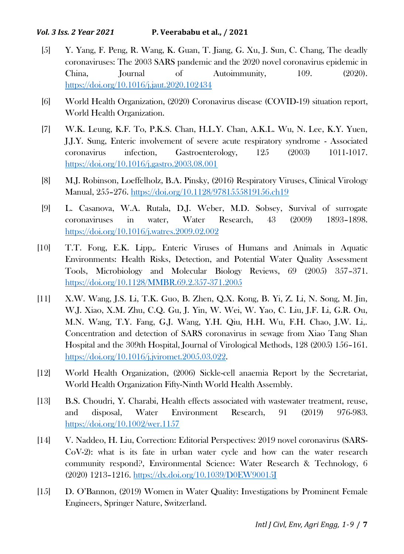- [5] Y. Yang, F. Peng, R. Wang, K. Guan, T. Jiang, G. Xu, J. Sun, C. Chang, The deadly coronaviruses: The 2003 SARS pandemic and the 2020 novel coronavirus epidemic in China, Journal of Autoimmunity, 109. (2020). <https://doi.org/10.1016/j.jaut.2020.102434>
- [6] World Health Organization, (2020) Coronavirus disease (COVID-19) situation report, World Health Organization.
- [7] W.K. Leung, K.F. To, P.K.S. Chan, H.L.Y. Chan, A.K.L. Wu, N. Lee, K.Y. Yuen, J.J.Y. Sung, Enteric involvement of severe acute respiratory syndrome - Associated coronavirus infection, Gastroenterology, 125 (2003) 1011-1017. <https://doi.org/10.1016/j.gastro.2003.08.001>
- [8] M.J. Robinson, Loeffelholz, B.A. Pinsky, (2016) Respiratory Viruses, Clinical Virology Manual, 255–276.<https://doi.org/10.1128/9781555819156.ch19>
- [9] L. Casanova, W.A. Rutala, D.J. Weber, M.D. Sobsey, Survival of surrogate coronaviruses in water, Water Research, 43 (2009) 1893–1898. <https://doi.org/10.1016/j.watres.2009.02.002>
- [10] T.T. Fong, E.K. Lipp,. Enteric Viruses of Humans and Animals in Aquatic Environments: Health Risks, Detection, and Potential Water Quality Assessment Tools, Microbiology and Molecular Biology Reviews, 69 (2005) 357–371. <https://doi.org/10.1128/MMBR.69.2.357-371.2005>
- [11] X.W. Wang, J.S. Li, T.K. Guo, B. Zhen, Q.X. Kong, B. Yi, Z. Li, N. Song, M. Jin, W.J. Xiao, X.M. Zhu, C.Q. Gu, J. Yin, W. Wei, W. Yao, C. Liu, J.F. Li, G.R. Ou, M.N. Wang, T.Y. Fang, G.J. Wang, Y.H. Qiu, H.H. Wu, F.H. Chao, J.W. Li,. Concentration and detection of SARS coronavirus in sewage from Xiao Tang Shan Hospital and the 309th Hospital, Journal of Virological Methods, 128 (2005) 156–161. [https://doi.org/10.1016/j.jviromet.2005.03.022.](https://doi.org/10.1016/j.jviromet.2005.03.022)
- [12] World Health Organization, (2006) Sickle-cell anaemia Report by the Secretariat, World Health Organization Fifty-Ninth World Health Assembly.
- [13] B.S. Choudri, Y. Charabi, Health effects associated with wastewater treatment, reuse, and disposal, Water Environment Research, 91 (2019) 976-983. <https://doi.org/10.1002/wer.1157>
- [14] V. Naddeo, H. Liu, Correction: Editorial Perspectives: 2019 novel coronavirus (SARS-CoV-2): what is its fate in urban water cycle and how can the water research community respond?, Environmental Science: Water Research & Technology, 6 (2020) 1213–1216.<https://dx.doi.org/10.1039/D0EW90015J>
- [15] D. O'Bannon, (2019) Women in Water Quality: Investigations by Prominent Female Engineers, Springer Nature, Switzerland.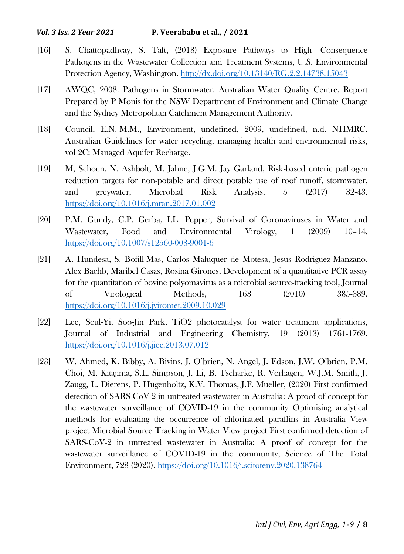- [16] S. Chattopadhyay, S. Taft, (2018) Exposure Pathways to High- Consequence Pathogens in the Wastewater Collection and Treatment Systems, U.S. Environmental Protection Agency, Washington.<http://dx.doi.org/10.13140/RG.2.2.14738.15043>
- [17] AWQC, 2008. Pathogens in Stormwater. Australian Water Quality Centre, Report Prepared by P Monis for the NSW Department of Environment and Climate Change and the Sydney Metropolitan Catchment Management Authority.
- [18] Council, E.N.-M.M., Environment, undefined, 2009, undefined, n.d. NHMRC. Australian Guidelines for water recycling, managing health and environmental risks, vol 2C: Managed Aquifer Recharge.
- [19] M, Schoen, N. Ashbolt, M. Jahne, J.G.M. Jay Garland, Risk-based enteric pathogen reduction targets for non-potable and direct potable use of roof runoff, stormwater, and greywater, Microbial Risk Analysis, 5 (2017) 32-43. <https://doi.org/10.1016/j.mran.2017.01.002>
- [20] P.M. Gundy, C.P. Gerba, I.L. Pepper, Survival of Coronaviruses in Water and Wastewater, Food and Environmental Virology, 1 (2009) 10–14. <https://doi.org/10.1007/s12560-008-9001-6>
- [21] A. Hundesa, S. Bofill-Mas, Carlos Maluquer de Motesa, Jesus Rodriguez-Manzano, Alex Bachb, Maribel Casas, Rosina Girones, Development of a quantitative PCR assay for the quantitation of bovine polyomavirus as a microbial source-tracking tool, Journal of Virological Methods, 163 (2010) 385-389. <https://doi.org/10.1016/j.jviromet.2009.10.029>
- [22] Lee, Seul-Yi, Soo-Jin Park, TiO2 photocatalyst for water treatment applications, Journal of Industrial and Engineering Chemistry, 19 (2013) 1761-1769. <https://doi.org/10.1016/j.jiec.2013.07.012>
- [23] W. Ahmed, K. Bibby, A. Bivins, J. O'brien, N. Angel, J. Edson, J.W. O'brien, P.M. Choi, M. Kitajima, S.L. Simpson, J. Li, B. Tscharke, R. Verhagen, W.J.M. Smith, J. Zaugg, L. Dierens, P. Hugenholtz, K.V. Thomas, J.F. Mueller, (2020) First confirmed detection of SARS-CoV-2 in untreated wastewater in Australia: A proof of concept for the wastewater surveillance of COVID-19 in the community Optimising analytical methods for evaluating the occurrence of chlorinated paraffins in Australia View project Microbial Source Tracking in Water View project First confirmed detection of SARS-CoV-2 in untreated wastewater in Australia: A proof of concept for the wastewater surveillance of COVID-19 in the community, Science of The Total Environment, 728 (2020)[. https://doi.org/10.1016/j.scitotenv.2020.138764](https://doi.org/10.1016/j.scitotenv.2020.138764)